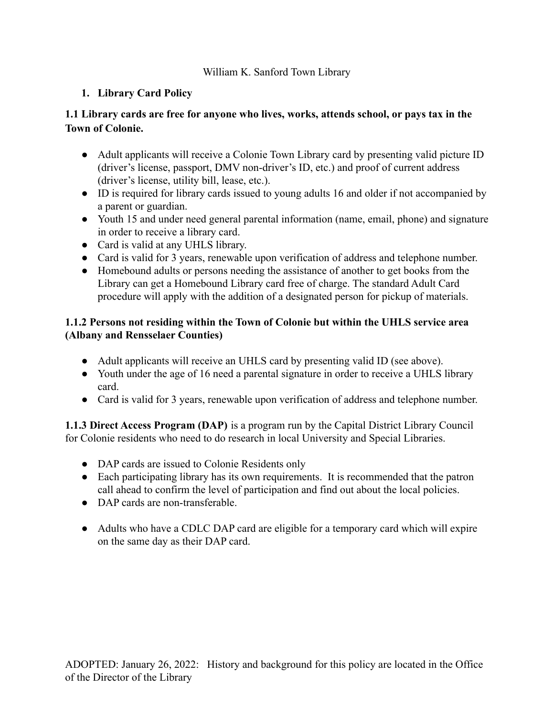## William K. Sanford Town Library

# **1. Library Card Policy**

## **1.1 Library cards are free for anyone who lives, works, attends school, or pays tax in the Town of Colonie.**

- Adult applicants will receive a Colonie Town Library card by presenting valid picture ID (driver's license, passport, DMV non-driver's ID, etc.) and proof of current address (driver's license, utility bill, lease, etc.).
- ID is required for library cards issued to young adults 16 and older if not accompanied by a parent or guardian.
- Youth 15 and under need general parental information (name, email, phone) and signature in order to receive a library card.
- Card is valid at any UHLS library.
- Card is valid for 3 years, renewable upon verification of address and telephone number.
- Homebound adults or persons needing the assistance of another to get books from the Library can get a Homebound Library card free of charge. The standard Adult Card procedure will apply with the addition of a designated person for pickup of materials.

## **1.1.2 Persons not residing within the Town of Colonie but within the UHLS service area (Albany and Rensselaer Counties)**

- Adult applicants will receive an UHLS card by presenting valid ID (see above).
- Youth under the age of 16 need a parental signature in order to receive a UHLS library card.
- Card is valid for 3 years, renewable upon verification of address and telephone number.

**1.1.3 Direct Access Program (DAP)** is a program run by the Capital District Library Council for Colonie residents who need to do research in local University and Special Libraries.

- DAP cards are issued to Colonie Residents only
- Each participating library has its own requirements. It is recommended that the patron call ahead to confirm the level of participation and find out about the local policies.
- DAP cards are non-transferable.
- Adults who have a CDLC DAP card are eligible for a temporary card which will expire on the same day as their DAP card.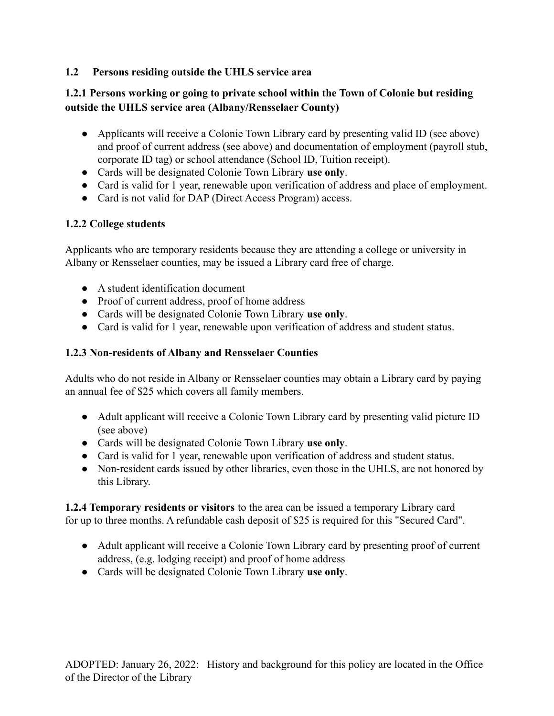### **1.2 Persons residing outside the UHLS service area**

## **1.2.1 Persons working or going to private school within the Town of Colonie but residing outside the UHLS service area (Albany/Rensselaer County)**

- Applicants will receive a Colonie Town Library card by presenting valid ID (see above) and proof of current address (see above) and documentation of employment (payroll stub, corporate ID tag) or school attendance (School ID, Tuition receipt).
- Cards will be designated Colonie Town Library **use only**.
- Card is valid for 1 year, renewable upon verification of address and place of employment.
- Card is not valid for DAP (Direct Access Program) access.

## **1.2.2 College students**

Applicants who are temporary residents because they are attending a college or university in Albany or Rensselaer counties, may be issued a Library card free of charge.

- A student identification document
- Proof of current address, proof of home address
- Cards will be designated Colonie Town Library **use only**.
- Card is valid for 1 year, renewable upon verification of address and student status.

## **1.2.3 Non-residents of Albany and Rensselaer Counties**

Adults who do not reside in Albany or Rensselaer counties may obtain a Library card by paying an annual fee of \$25 which covers all family members.

- Adult applicant will receive a Colonie Town Library card by presenting valid picture ID (see above)
- Cards will be designated Colonie Town Library **use only**.
- Card is valid for 1 year, renewable upon verification of address and student status.
- Non-resident cards issued by other libraries, even those in the UHLS, are not honored by this Library.

**1.2.4 Temporary residents or visitors** to the area can be issued a temporary Library card for up to three months. A refundable cash deposit of \$25 is required for this "Secured Card".

- Adult applicant will receive a Colonie Town Library card by presenting proof of current address, (e.g. lodging receipt) and proof of home address
- Cards will be designated Colonie Town Library **use only**.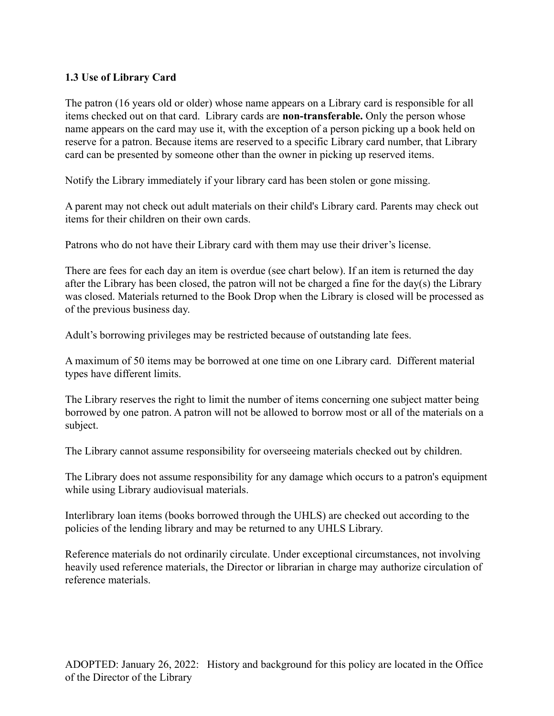#### **1.3 Use of Library Card**

The patron (16 years old or older) whose name appears on a Library card is responsible for all items checked out on that card. Library cards are **non-transferable.** Only the person whose name appears on the card may use it, with the exception of a person picking up a book held on reserve for a patron. Because items are reserved to a specific Library card number, that Library card can be presented by someone other than the owner in picking up reserved items.

Notify the Library immediately if your library card has been stolen or gone missing.

A parent may not check out adult materials on their child's Library card. Parents may check out items for their children on their own cards.

Patrons who do not have their Library card with them may use their driver's license.

There are fees for each day an item is overdue (see chart below). If an item is returned the day after the Library has been closed, the patron will not be charged a fine for the day(s) the Library was closed. Materials returned to the Book Drop when the Library is closed will be processed as of the previous business day.

Adult's borrowing privileges may be restricted because of outstanding late fees.

A maximum of 50 items may be borrowed at one time on one Library card. Different material types have different limits.

The Library reserves the right to limit the number of items concerning one subject matter being borrowed by one patron. A patron will not be allowed to borrow most or all of the materials on a subject.

The Library cannot assume responsibility for overseeing materials checked out by children.

The Library does not assume responsibility for any damage which occurs to a patron's equipment while using Library audiovisual materials.

Interlibrary loan items (books borrowed through the UHLS) are checked out according to the policies of the lending library and may be returned to any UHLS Library.

Reference materials do not ordinarily circulate. Under exceptional circumstances, not involving heavily used reference materials, the Director or librarian in charge may authorize circulation of reference materials.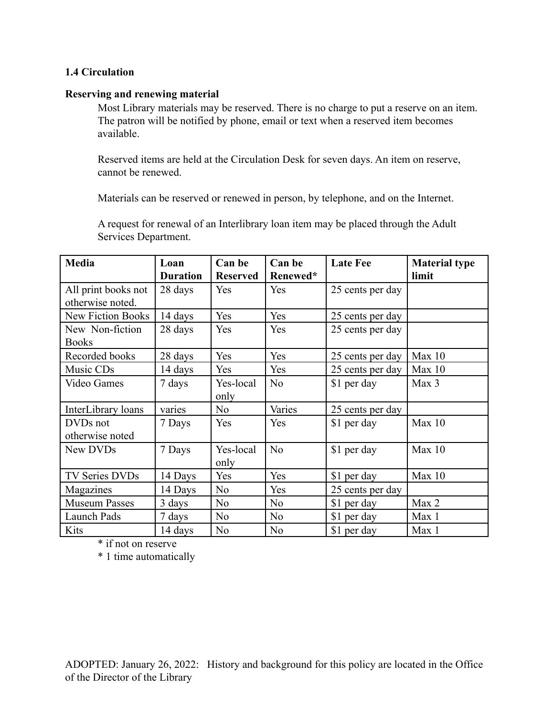#### **1.4 Circulation**

#### **Reserving and renewing material**

Most Library materials may be reserved. There is no charge to put a reserve on an item. The patron will be notified by phone, email or text when a reserved item becomes available.

Reserved items are held at the Circulation Desk for seven days. An item on reserve, cannot be renewed.

Materials can be reserved or renewed in person, by telephone, and on the Internet.

A request for renewal of an Interlibrary loan item may be placed through the Adult Services Department.

| <b>Media</b>                            | Loan<br><b>Duration</b> | Can be<br><b>Reserved</b> | Can be<br>Renewed* | <b>Late Fee</b>  | <b>Material type</b><br>limit |
|-----------------------------------------|-------------------------|---------------------------|--------------------|------------------|-------------------------------|
| All print books not<br>otherwise noted. | 28 days                 | Yes                       | Yes                | 25 cents per day |                               |
| <b>New Fiction Books</b>                | 14 days                 | Yes                       | Yes                | 25 cents per day |                               |
| New Non-fiction<br><b>Books</b>         | 28 days                 | Yes                       | Yes                | 25 cents per day |                               |
| Recorded books                          | 28 days                 | Yes                       | Yes                | 25 cents per day | Max 10                        |
| Music CDs                               | 14 days                 | Yes                       | Yes                | 25 cents per day | Max 10                        |
| <b>Video Games</b>                      | 7 days                  | Yes-local<br>only         | N <sub>o</sub>     | \$1 per day      | Max 3                         |
| InterLibrary loans                      | varies                  | N <sub>0</sub>            | Varies             | 25 cents per day |                               |
| DVDs not<br>otherwise noted             | 7 Days                  | Yes                       | Yes                | \$1 per day      | Max 10                        |
| New DVDs                                | 7 Days                  | Yes-local<br>only         | N <sub>o</sub>     | \$1 per day      | Max 10                        |
| TV Series DVDs                          | 14 Days                 | Yes                       | Yes                | \$1 per day      | Max 10                        |
| Magazines                               | 14 Days                 | N <sub>0</sub>            | Yes                | 25 cents per day |                               |
| <b>Museum Passes</b>                    | 3 days                  | N <sub>0</sub>            | N <sub>o</sub>     | \$1 per day      | Max 2                         |
| Launch Pads                             | 7 days                  | N <sub>o</sub>            | N <sub>o</sub>     | \$1 per day      | Max 1                         |
| Kits                                    | 14 days                 | N <sub>o</sub>            | N <sub>o</sub>     | \$1 per day      | Max 1                         |

\* if not on reserve

\* 1 time automatically